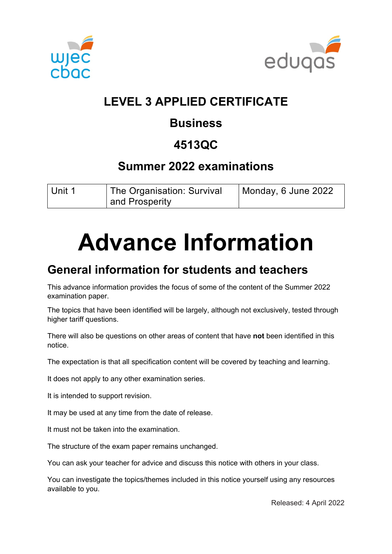



## **LEVEL 3 APPLIED CERTIFICATE**

## **Business**

## **4513QC**

#### **Summer 2022 examinations**

| Unit 1 | <sup>1</sup> The Organisation: Survival | Monday, 6 June 2022 |
|--------|-----------------------------------------|---------------------|
|        | and Prosperity                          |                     |

# **Advance Information**

## **General information for students and teachers**

This advance information provides the focus of some of the content of the Summer 2022 examination paper.

The topics that have been identified will be largely, although not exclusively, tested through higher tariff questions.

There will also be questions on other areas of content that have **not** been identified in this notice.

The expectation is that all specification content will be covered by teaching and learning.

It does not apply to any other examination series.

It is intended to support revision.

It may be used at any time from the date of release.

It must not be taken into the examination.

The structure of the exam paper remains unchanged.

You can ask your teacher for advice and discuss this notice with others in your class.

You can investigate the topics/themes included in this notice yourself using any resources available to you.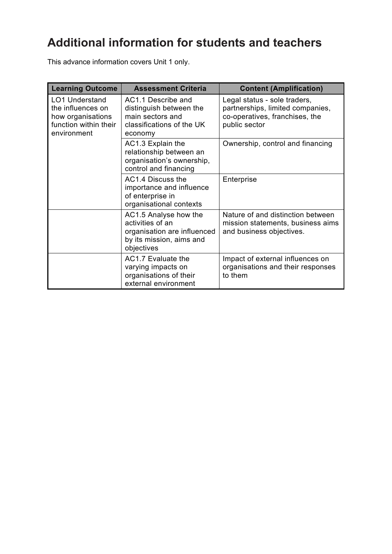# **Additional information for students and teachers**

This advance information covers Unit 1 only.

| <b>Learning Outcome</b>                                                                                 | <b>Assessment Criteria</b>                                                                                         | <b>Content (Amplification)</b>                                                                                      |
|---------------------------------------------------------------------------------------------------------|--------------------------------------------------------------------------------------------------------------------|---------------------------------------------------------------------------------------------------------------------|
| <b>LO1 Understand</b><br>the influences on<br>how organisations<br>function within their<br>environment | AC1.1 Describe and<br>distinguish between the<br>main sectors and<br>classifications of the UK<br>economy          | Legal status - sole traders,<br>partnerships, limited companies,<br>co-operatives, franchises, the<br>public sector |
|                                                                                                         | AC1.3 Explain the<br>relationship between an<br>organisation's ownership,<br>control and financing                 | Ownership, control and financing                                                                                    |
|                                                                                                         | AC1.4 Discuss the<br>importance and influence<br>of enterprise in<br>organisational contexts                       | Enterprise                                                                                                          |
|                                                                                                         | AC1.5 Analyse how the<br>activities of an<br>organisation are influenced<br>by its mission, aims and<br>objectives | Nature of and distinction between<br>mission statements, business aims<br>and business objectives.                  |
|                                                                                                         | AC1.7 Evaluate the<br>varying impacts on<br>organisations of their<br>external environment                         | Impact of external influences on<br>organisations and their responses<br>to them                                    |